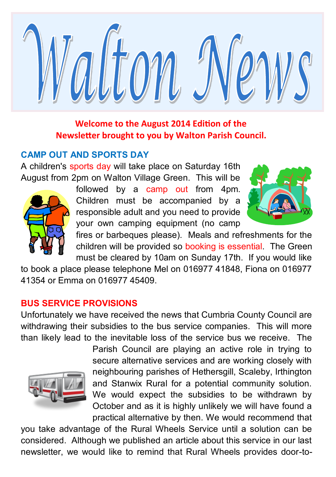

## **Welcome to the August 2014 Edition of the Newsletter brought to you by Walton Parish Council.**

## **CAMP OUT AND SPORTS DAY**

A children's sports day will take place on Saturday 16th August from 2pm on Walton Village Green. This will be



followed by a camp out from 4pm. Children must be accompanied by a responsible adult and you need to provide your own camping equipment (no camp



fires or barbeques please). Meals and refreshments for the children will be provided so booking is essential. The Green must be cleared by 10am on Sunday 17th. If you would like

to book a place please telephone Mel on 016977 41848, Fiona on 016977 41354 or Emma on 016977 45409.

# **BUS SERVICE PROVISIONS**

Unfortunately we have received the news that Cumbria County Council are withdrawing their subsidies to the bus service companies. This will more than likely lead to the inevitable loss of the service bus we receive. The



Parish Council are playing an active role in trying to secure alternative services and are working closely with neighbouring parishes of Hethersgill, Scaleby, Irthington and Stanwix Rural for a potential community solution. We would expect the subsidies to be withdrawn by October and as it is highly unlikely we will have found a practical alternative by then. We would recommend that

you take advantage of the Rural Wheels Service until a solution can be considered. Although we published an article about this service in our last newsletter, we would like to remind that Rural Wheels provides door-to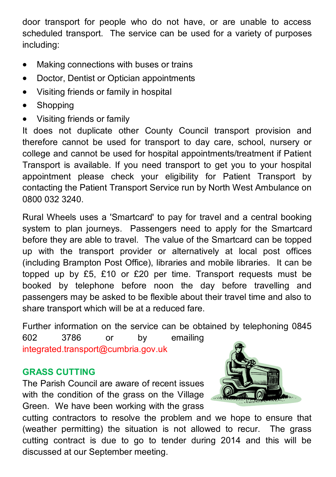door transport for people who do not have, or are unable to access scheduled transport. The service can be used for a variety of purposes including:

- Making connections with buses or trains
- Doctor, Dentist or Optician appointments
- Visiting friends or family in hospital
- **Shopping**
- Visiting friends or family

It does not duplicate other County Council transport provision and therefore cannot be used for transport to day care, school, nursery or college and cannot be used for hospital appointments/treatment if Patient Transport is available. If you need transport to get you to your hospital appointment please check your eligibility for Patient Transport by contacting the Patient Transport Service run by North West Ambulance on 0800 032 3240.

Rural Wheels uses a 'Smartcard' to pay for travel and a central booking system to plan journeys. Passengers need to apply for the Smartcard before they are able to travel. The value of the Smartcard can be topped up with the transport provider or alternatively at local post offices (including Brampton Post Office), libraries and mobile libraries. It can be topped up by £5, £10 or £20 per time. Transport requests must be booked by telephone before noon the day before travelling and passengers may be asked to be flexible about their travel time and also to share transport which will be at a reduced fare.

Further information on the service can be obtained by telephoning 0845 602 3786 or by emailing integrated.transport@cumbria.gov.uk

## **GRASS CUTTING**

The Parish Council are aware of recent issues with the condition of the grass on the Village Green. We have been working with the grass



cutting contractors to resolve the problem and we hope to ensure that (weather permitting) the situation is not allowed to recur. The grass cutting contract is due to go to tender during 2014 and this will be discussed at our September meeting.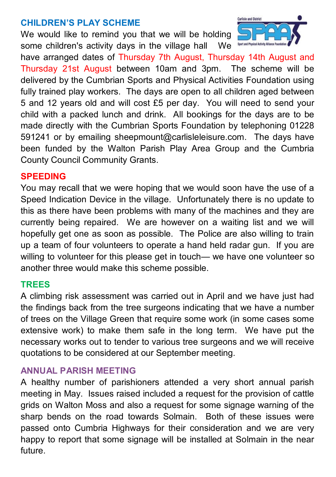### **CHILDREN'S PLAY SCHEME**

We would like to remind you that we will be holding some children's activity days in the village hall We Spartant Physical Activity All



have arranged dates of Thursday 7th August, Thursday 14th August and Thursday 21st August between 10am and 3pm. The scheme will be delivered by the Cumbrian Sports and Physical Activities Foundation using fully trained play workers. The days are open to all children aged between 5 and 12 years old and will cost £5 per day. You will need to send your child with a packed lunch and drink. All bookings for the days are to be made directly with the Cumbrian Sports Foundation by telephoning 01228 591241 or by emailing sheepmount@carlisleleisure.com. The days have been funded by the Walton Parish Play Area Group and the Cumbria County Council Community Grants.

#### **SPEEDING**

You may recall that we were hoping that we would soon have the use of a Speed Indication Device in the village. Unfortunately there is no update to this as there have been problems with many of the machines and they are currently being repaired. We are however on a waiting list and we will hopefully get one as soon as possible. The Police are also willing to train up a team of four volunteers to operate a hand held radar gun. If you are willing to volunteer for this please get in touch— we have one volunteer so another three would make this scheme possible.

#### **TREES**

A climbing risk assessment was carried out in April and we have just had the findings back from the tree surgeons indicating that we have a number of trees on the Village Green that require some work (in some cases some extensive work) to make them safe in the long term. We have put the necessary works out to tender to various tree surgeons and we will receive quotations to be considered at our September meeting.

#### **ANNUAL PARISH MEETING**

A healthy number of parishioners attended a very short annual parish meeting in May. Issues raised included a request for the provision of cattle grids on Walton Moss and also a request for some signage warning of the sharp bends on the road towards Solmain. Both of these issues were passed onto Cumbria Highways for their consideration and we are very happy to report that some signage will be installed at Solmain in the near future.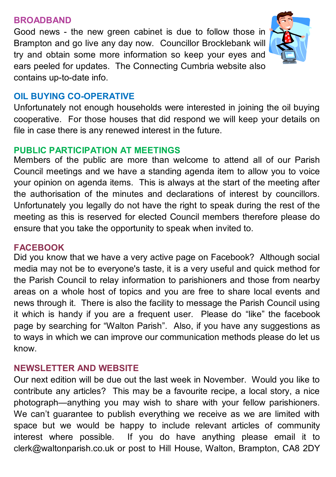#### **BROADBAND**

Good news - the new green cabinet is due to follow those in Brampton and go live any day now. Councillor Brocklebank will try and obtain some more information so keep your eyes and ears peeled for updates. The Connecting Cumbria website also contains up-to-date info.



## **OIL BUYING CO-OPERATIVE**

Unfortunately not enough households were interested in joining the oil buying cooperative. For those houses that did respond we will keep your details on file in case there is any renewed interest in the future.

### **PUBLIC PARTICIPATION AT MEETINGS**

Members of the public are more than welcome to attend all of our Parish Council meetings and we have a standing agenda item to allow you to voice your opinion on agenda items. This is always at the start of the meeting after the authorisation of the minutes and declarations of interest by councillors. Unfortunately you legally do not have the right to speak during the rest of the meeting as this is reserved for elected Council members therefore please do ensure that you take the opportunity to speak when invited to.

### **FACEBOOK**

Did you know that we have a very active page on Facebook? Although social media may not be to everyone's taste, it is a very useful and quick method for the Parish Council to relay information to parishioners and those from nearby areas on a whole host of topics and you are free to share local events and news through it. There is also the facility to message the Parish Council using it which is handy if you are a frequent user. Please do "like" the facebook page by searching for "Walton Parish". Also, if you have any suggestions as to ways in which we can improve our communication methods please do let us know.

### **NEWSLETTER AND WEBSITE**

Our next edition will be due out the last week in November. Would you like to contribute any articles? This may be a favourite recipe, a local story, a nice photograph—anything you may wish to share with your fellow parishioners. We can't guarantee to publish everything we receive as we are limited with space but we would be happy to include relevant articles of community interest where possible. If you do have anything please email it to clerk@waltonparish.co.uk or post to Hill House, Walton, Brampton, CA8 2DY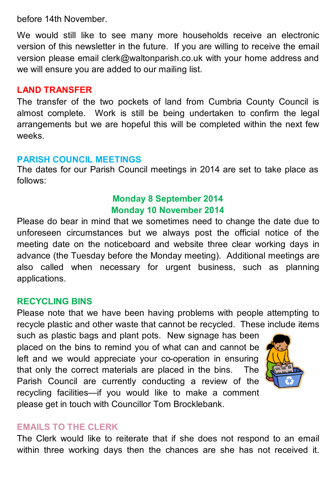before 14th November.

We would still like to see many more households receive an electronic version of this newsletter in the future. If you are willing to receive the email version please email clerk@waltonparish.co.uk with your home address and we will ensure you are added to our mailing list.

#### **LAND TRANSFER**

The transfer of the two pockets of land from Cumbria County Council is almost complete. Work is still be being undertaken to confirm the legal arrangements but we are hopeful this will be completed within the next few weeks.

#### **PARISH COUNCIL MEETINGS**

The dates for our Parish Council meetings in 2014 are set to take place as follows:

## **Monday 8 September 2014 Monday 10 November 2014**

Please do bear in mind that we sometimes need to change the date due to unforeseen circumstances but we always post the official notice of the meeting date on the noticeboard and website three clear working days in advance (the Tuesday before the Monday meeting). Additional meetings are also called when necessary for urgent business, such as planning applications.

### **RECYCLING BINS**

Please note that we have been having problems with people attempting to recycle plastic and other waste that cannot be recycled. These include items

such as plastic bags and plant pots. New signage has been placed on the bins to remind you of what can and cannot be left and we would appreciate your co-operation in ensuring that only the correct materials are placed in the bins. The Parish Council are currently conducting a review of the recycling facilities—if you would like to make a comment please get in touch with Councillor Tom Brocklebank.



#### **EMAILS TO THE CLERK**

The Clerk would like to reiterate that if she does not respond to an email within three working days then the chances are she has not received it.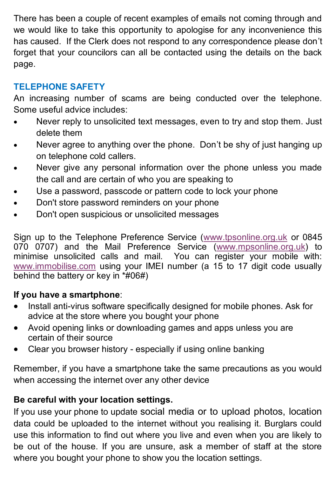There has been a couple of recent examples of emails not coming through and we would like to take this opportunity to apologise for any inconvenience this has caused. If the Clerk does not respond to any correspondence please don't forget that your councilors can all be contacted using the details on the back page.

# **TELEPHONE SAFETY**

An increasing number of scams are being conducted over the telephone. Some useful advice includes:

- Never reply to unsolicited text messages, even to try and stop them. Just delete them
- Never agree to anything over the phone. Don't be shy of just hanging up on telephone cold callers.
- Never give any personal information over the phone unless you made the call and are certain of who you are speaking to
- Use a password, passcode or pattern code to lock your phone
- Don't store password reminders on your phone
- Don't open suspicious or unsolicited messages

Sign up to the Telephone Preference Service [\(www.tpsonline.org.uk](http://www.tpsonline.org.uk) or 0845 070 0707) and the Mail Preference Service ([www.mpsonline.org.uk\)](http://www.mpsonline.org.uk) to minimise unsolicited calls and mail. You can register your mobile with: [www.immobilise.com](http://www.immobilise.com) using your IMEI number (a 15 to 17 digit code usually behind the battery or key in \*#06#)

### **If you have a smartphone**:

- Install anti-virus software specifically designed for mobile phones. Ask for advice at the store where you bought your phone
- Avoid opening links or downloading games and apps unless you are certain of their source
- Clear you browser history especially if using online banking

Remember, if you have a smartphone take the same precautions as you would when accessing the internet over any other device

### **Be careful with your location settings.**

If you use your phone to update social media or to upload photos, location data could be uploaded to the internet without you realising it. Burglars could use this information to find out where you live and even when you are likely to be out of the house. If you are unsure, ask a member of staff at the store where you bought your phone to show you the location settings.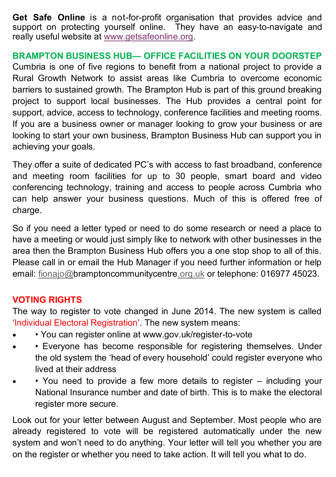**Get Safe Online** is a not-for-profit organisation that provides advice and support on protecting yourself online. They have an easy-to-navigate and really useful website at [www.getsafeonline.org.](http://www.getsafeonline.org/)

### **BRAMPTON BUSINESS HUB— OFFICE FACILITIES ON YOUR DOORSTEP**

Cumbria is one of five regions to benefit from a national project to provide a Rural Growth Network to assist areas like Cumbria to overcome economic barriers to sustained growth. The Brampton Hub is part of this ground breaking project to support local businesses. The Hub provides a central point for support, advice, access to technology, conference facilities and meeting rooms. If you are a business owner or manager looking to grow your business or are looking to start your own business, Brampton Business Hub can support you in achieving your goals.

They offer a suite of dedicated PC's with access to fast broadband, conference and meeting room facilities for up to 30 people, smart board and video conferencing technology, training and access to people across Cumbria who can help answer your business questions. Much of this is offered free of charge.

So if you need a letter typed or need to do some research or need a place to have a meeting or would just simply like to network with other businesses in the area then the Brampton Business Hub offers you a one stop shop to all of this. Please call in or email the Hub Manager if you need further information or help email: [fionajo@bramptoncommunitycentre.org.uk](mailto:fionajo@bramptoncommunitycentre.org.uk) or telephone: 016977 45023.

### **VOTING RIGHTS**

The way to register to vote changed in June 2014. The new system is called 'Individual Electoral Registration'. The new system means:

- You can register online at www.gov.uk/register-to-vote
- Everyone has become responsible for registering themselves. Under the old system the 'head of every household' could register everyone who lived at their address
- You need to provide a few more details to register including your National Insurance number and date of birth. This is to make the electoral register more secure.

Look out for your letter between August and September. Most people who are already registered to vote will be registered automatically under the new system and won't need to do anything. Your letter will tell you whether you are on the register or whether you need to take action. It will tell you what to do.